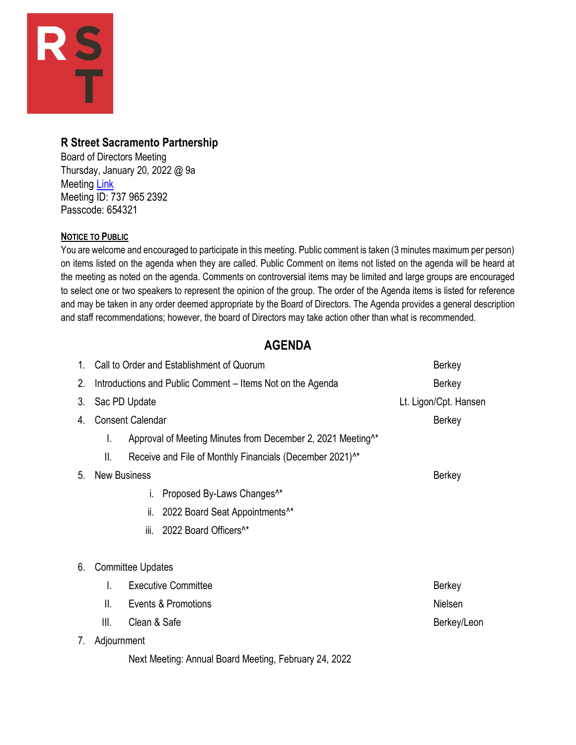

## **R Street Sacramento Partnership**

Board of Directors Meeting Thursday, January 20, 2022 @ 9a Meeting **Link** Meeting ID: 737 965 2392 Passcode: 654321

### **NOTICE TO PUBLIC**

You are welcome and encouraged to participate in this meeting. Public comment is taken (3 minutes maximum per person) on items listed on the agenda when they are called. Public Comment on items not listed on the agenda will be heard at the meeting as noted on the agenda. Comments on controversial items may be limited and large groups are encouraged to select one or two speakers to represent the opinion of the group. The order of the Agenda items is listed for reference and may be taken in any order deemed appropriate by the Board of Directors. The Agenda provides a general description and staff recommendations; however, the board of Directors may take action other than what is recommended.

# **AGENDA**

| $1_{-}$ | Call to Order and Establishment of Quorum                  |                                                                         | <b>Berkey</b>         |
|---------|------------------------------------------------------------|-------------------------------------------------------------------------|-----------------------|
| 2.      | Introductions and Public Comment - Items Not on the Agenda |                                                                         | <b>Berkey</b>         |
| 3.      | Sac PD Update                                              |                                                                         | Lt. Ligon/Cpt. Hansen |
| 4.      | <b>Consent Calendar</b>                                    |                                                                         | <b>Berkey</b>         |
|         | I.                                                         | Approval of Meeting Minutes from December 2, 2021 Meeting <sup>^*</sup> |                       |
|         | Ш.                                                         | Receive and File of Monthly Financials (December 2021) <sup>^*</sup>    |                       |
| 5.      |                                                            | <b>New Business</b>                                                     | <b>Berkey</b>         |
|         |                                                            | Proposed By-Laws Changes <sup>^*</sup><br>L.                            |                       |
|         |                                                            | 2022 Board Seat Appointments <sup>^*</sup><br>ii.                       |                       |
|         |                                                            | 2022 Board Officers <sup>^*</sup><br>iii.                               |                       |
| 6.      | <b>Committee Updates</b>                                   |                                                                         |                       |
|         | L.                                                         | <b>Executive Committee</b>                                              | <b>Berkey</b>         |
|         | Ш.                                                         | Events & Promotions                                                     | Nielsen               |
|         | Ⅲ.                                                         | Clean & Safe                                                            | Berkey/Leon           |
| 7.      | Adjournment                                                |                                                                         |                       |
|         |                                                            | Next Meeting: Annual Board Meeting, February 24, 2022                   |                       |